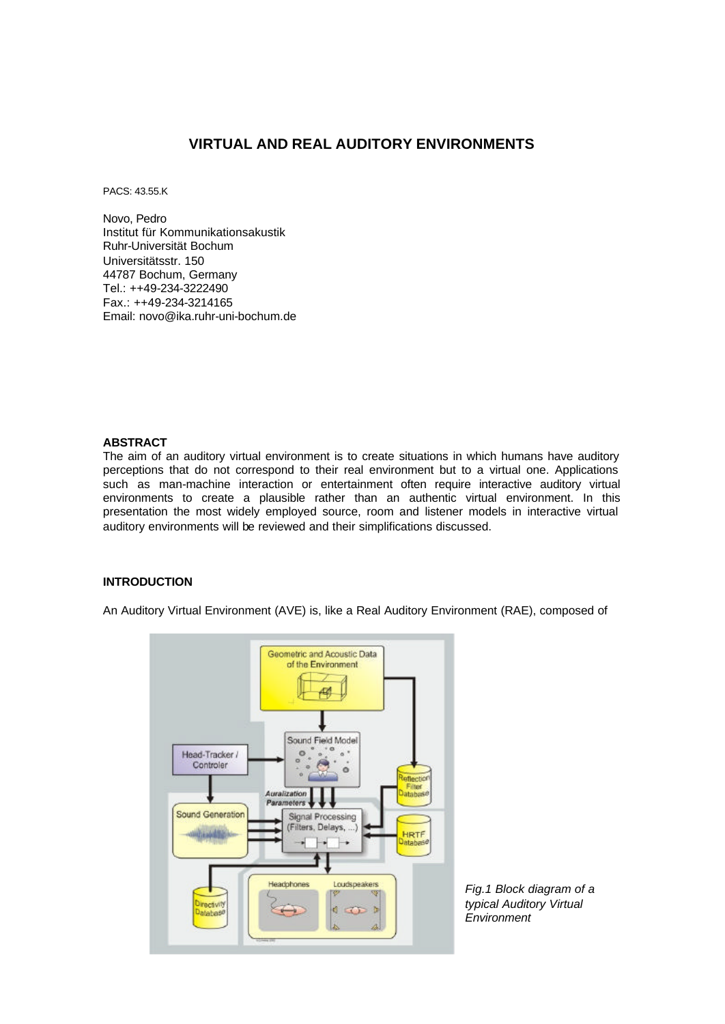# **VIRTUAL AND REAL AUDITORY ENVIRONMENTS**

PACS: 43.55.K

Novo, Pedro Institut für Kommunikationsakustik Ruhr-Universität Bochum Universitätsstr. 150 44787 Bochum, Germany Tel.: ++49-234-3222490 Fax.: ++49-234-3214165 Email: novo@ika.ruhr-uni-bochum.de

### **ABSTRACT**

The aim of an auditory virtual environment is to create situations in which humans have auditory perceptions that do not correspond to their real environment but to a virtual one. Applications such as man-machine interaction or entertainment often require interactive auditory virtual environments to create a plausible rather than an authentic virtual environment. In this presentation the most widely employed source, room and listener models in interactive virtual auditory environments will be reviewed and their simplifications discussed.

## **INTRODUCTION**

An Auditory Virtual Environment (AVE) is, like a Real Auditory Environment (RAE), composed of



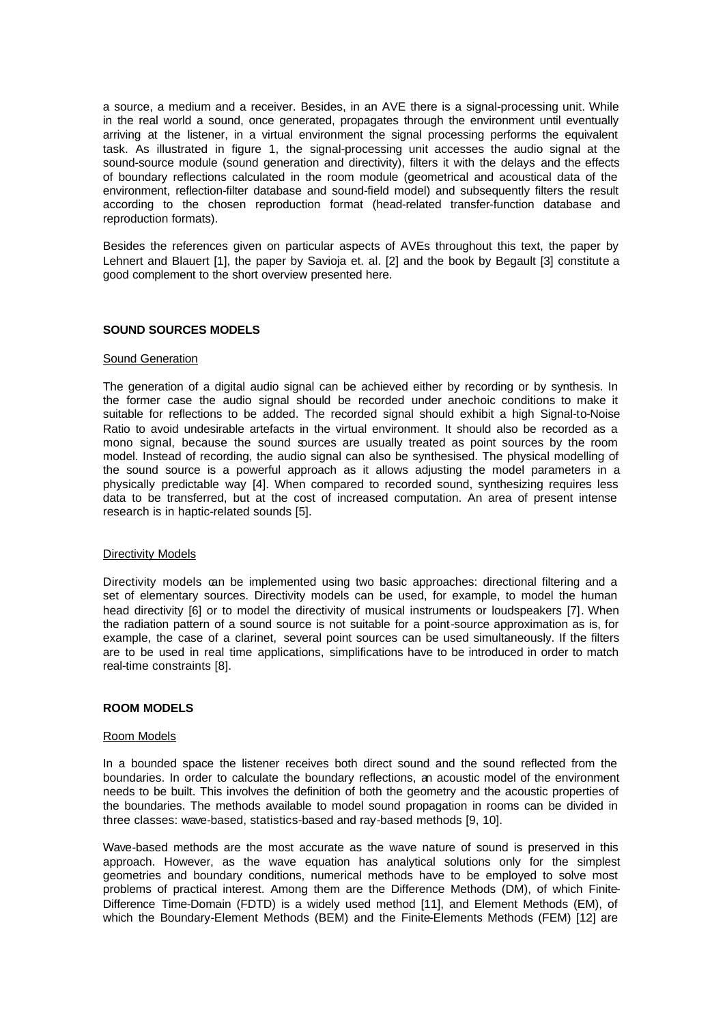a source, a medium and a receiver. Besides, in an AVE there is a signal-processing unit. While in the real world a sound, once generated, propagates through the environment until eventually arriving at the listener, in a virtual environment the signal processing performs the equivalent task. As illustrated in figure 1, the signal-processing unit accesses the audio signal at the sound-source module (sound generation and directivity), filters it with the delays and the effects of boundary reflections calculated in the room module (geometrical and acoustical data of the environment, reflection-filter database and sound-field model) and subsequently filters the result according to the chosen reproduction format (head-related transfer-function database and reproduction formats).

Besides the references given on particular aspects of AVEs throughout this text, the paper by Lehnert and Blauert [1], the paper by Savioja et. al. [2] and the book by Begault [3] constitute a good complement to the short overview presented here.

### **SOUND SOURCES MODELS**

#### Sound Generation

The generation of a digital audio signal can be achieved either by recording or by synthesis. In the former case the audio signal should be recorded under anechoic conditions to make it suitable for reflections to be added. The recorded signal should exhibit a high Signal-to-Noise Ratio to avoid undesirable artefacts in the virtual environment. It should also be recorded as a mono signal, because the sound sources are usually treated as point sources by the room model. Instead of recording, the audio signal can also be synthesised. The physical modelling of the sound source is a powerful approach as it allows adjusting the model parameters in a physically predictable way [4]. When compared to recorded sound, synthesizing requires less data to be transferred, but at the cost of increased computation. An area of present intense research is in haptic-related sounds [5].

### Directivity Models

Directivity models can be implemented using two basic approaches: directional filtering and a set of elementary sources. Directivity models can be used, for example, to model the human head directivity [6] or to model the directivity of musical instruments or loudspeakers [7]. When the radiation pattern of a sound source is not suitable for a point-source approximation as is, for example, the case of a clarinet, several point sources can be used simultaneously. If the filters are to be used in real time applications, simplifications have to be introduced in order to match real-time constraints [8].

### **ROOM MODELS**

#### Room Models

In a bounded space the listener receives both direct sound and the sound reflected from the boundaries. In order to calculate the boundary reflections, an acoustic model of the environment needs to be built. This involves the definition of both the geometry and the acoustic properties of the boundaries. The methods available to model sound propagation in rooms can be divided in three classes: wave-based, statistics-based and ray-based methods [9, 10].

Wave-based methods are the most accurate as the wave nature of sound is preserved in this approach. However, as the wave equation has analytical solutions only for the simplest geometries and boundary conditions, numerical methods have to be employed to solve most problems of practical interest. Among them are the Difference Methods (DM), of which Finite-Difference Time-Domain (FDTD) is a widely used method [11], and Element Methods (EM), of which the Boundary-Element Methods (BEM) and the Finite-Elements Methods (FEM) [12] are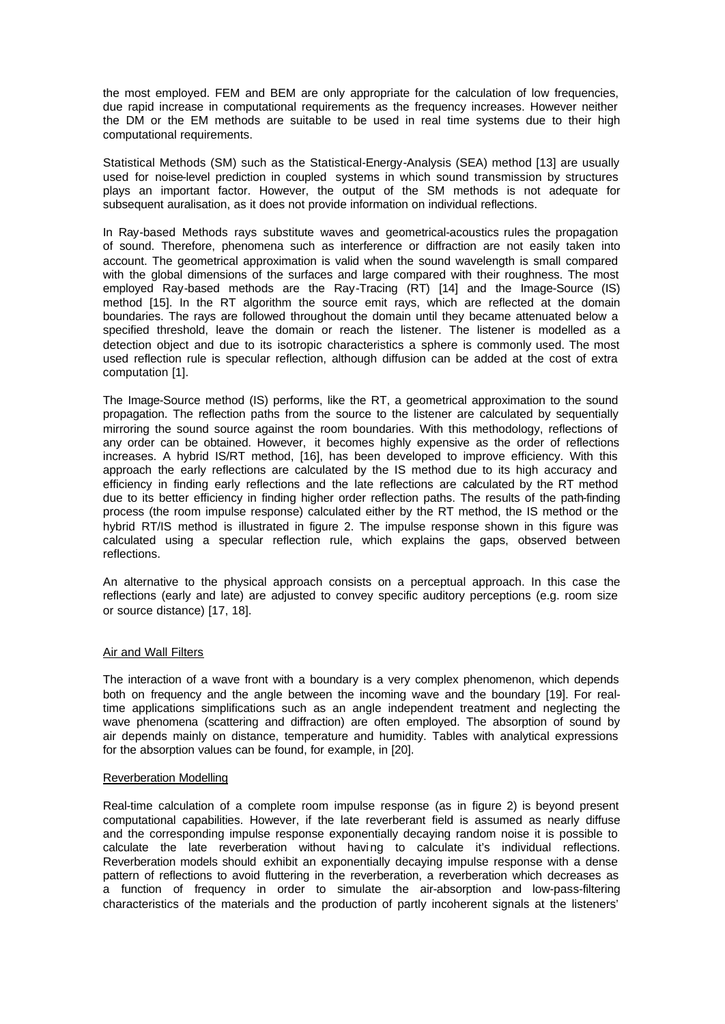the most employed. FEM and BEM are only appropriate for the calculation of low frequencies, due rapid increase in computational requirements as the frequency increases. However neither the DM or the EM methods are suitable to be used in real time systems due to their high computational requirements.

Statistical Methods (SM) such as the Statistical-Energy-Analysis (SEA) method [13] are usually used for noise-level prediction in coupled systems in which sound transmission by structures plays an important factor. However, the output of the SM methods is not adequate for subsequent auralisation, as it does not provide information on individual reflections.

In Ray-based Methods rays substitute waves and geometrical-acoustics rules the propagation of sound. Therefore, phenomena such as interference or diffraction are not easily taken into account. The geometrical approximation is valid when the sound wavelength is small compared with the global dimensions of the surfaces and large compared with their roughness. The most employed Ray-based methods are the Ray-Tracing (RT) [14] and the Image-Source (IS) method [15]. In the RT algorithm the source emit rays, which are reflected at the domain boundaries. The rays are followed throughout the domain until they became attenuated below a specified threshold, leave the domain or reach the listener. The listener is modelled as a detection object and due to its isotropic characteristics a sphere is commonly used. The most used reflection rule is specular reflection, although diffusion can be added at the cost of extra computation [1].

The Image-Source method (IS) performs, like the RT, a geometrical approximation to the sound propagation. The reflection paths from the source to the listener are calculated by sequentially mirroring the sound source against the room boundaries. With this methodology, reflections of any order can be obtained. However, it becomes highly expensive as the order of reflections increases. A hybrid IS/RT method, [16], has been developed to improve efficiency. With this approach the early reflections are calculated by the IS method due to its high accuracy and efficiency in finding early reflections and the late reflections are calculated by the RT method due to its better efficiency in finding higher order reflection paths. The results of the path-finding process (the room impulse response) calculated either by the RT method, the IS method or the hybrid RT/IS method is illustrated in figure 2. The impulse response shown in this figure was calculated using a specular reflection rule, which explains the gaps, observed between reflections.

An alternative to the physical approach consists on a perceptual approach. In this case the reflections (early and late) are adjusted to convey specific auditory perceptions (e.g. room size or source distance) [17, 18].

### Air and Wall Filters

The interaction of a wave front with a boundary is a very complex phenomenon, which depends both on frequency and the angle between the incoming wave and the boundary [19]. For realtime applications simplifications such as an angle independent treatment and neglecting the wave phenomena (scattering and diffraction) are often employed. The absorption of sound by air depends mainly on distance, temperature and humidity. Tables with analytical expressions for the absorption values can be found, for example, in [20].

### Reverberation Modelling

Real-time calculation of a complete room impulse response (as in figure 2) is beyond present computational capabilities. However, if the late reverberant field is assumed as nearly diffuse and the corresponding impulse response exponentially decaying random noise it is possible to calculate the late reverberation without having to calculate it's individual reflections. Reverberation models should exhibit an exponentially decaying impulse response with a dense pattern of reflections to avoid fluttering in the reverberation, a reverberation which decreases as a function of frequency in order to simulate the air-absorption and low-pass-filtering characteristics of the materials and the production of partly incoherent signals at the listeners'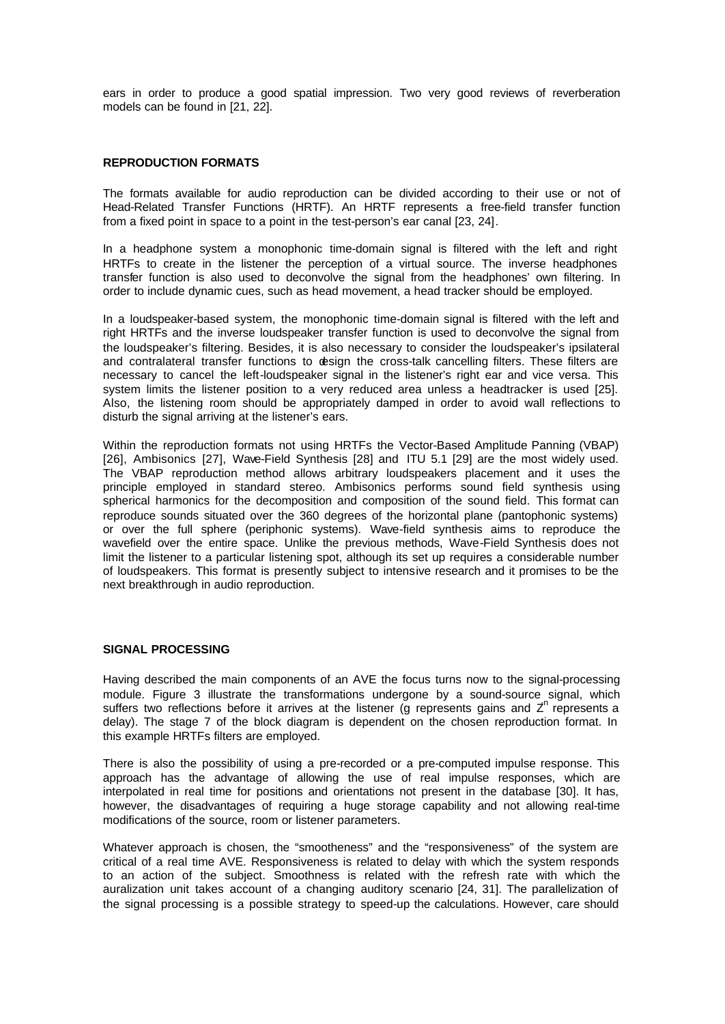ears in order to produce a good spatial impression. Two very good reviews of reverberation models can be found in [21, 22].

### **REPRODUCTION FORMATS**

The formats available for audio reproduction can be divided according to their use or not of Head-Related Transfer Functions (HRTF). An HRTF represents a free-field transfer function from a fixed point in space to a point in the test-person's ear canal [23, 24].

In a headphone system a monophonic time-domain signal is filtered with the left and right HRTFs to create in the listener the perception of a virtual source. The inverse headphones transfer function is also used to deconvolve the signal from the headphones' own filtering. In order to include dynamic cues, such as head movement, a head tracker should be employed.

In a loudspeaker-based system, the monophonic time-domain signal is filtered with the left and right HRTFs and the inverse loudspeaker transfer function is used to deconvolve the signal from the loudspeaker's filtering. Besides, it is also necessary to consider the loudspeaker's ipsilateral and contralateral transfer functions to design the cross-talk cancelling filters. These filters are necessary to cancel the left-loudspeaker signal in the listener's right ear and vice versa. This system limits the listener position to a very reduced area unless a headtracker is used [25]. Also, the listening room should be appropriately damped in order to avoid wall reflections to disturb the signal arriving at the listener's ears.

Within the reproduction formats not using HRTFs the Vector-Based Amplitude Panning (VBAP) [26], Ambisonics [27], Wave-Field Synthesis [28] and ITU 5.1 [29] are the most widely used. The VBAP reproduction method allows arbitrary loudspeakers placement and it uses the principle employed in standard stereo. Ambisonics performs sound field synthesis using spherical harmonics for the decomposition and composition of the sound field. This format can reproduce sounds situated over the 360 degrees of the horizontal plane (pantophonic systems) or over the full sphere (periphonic systems). Wave-field synthesis aims to reproduce the wavefield over the entire space. Unlike the previous methods, Wave-Field Synthesis does not limit the listener to a particular listening spot, although its set up requires a considerable number of loudspeakers. This format is presently subject to intensive research and it promises to be the next breakthrough in audio reproduction.

### **SIGNAL PROCESSING**

Having described the main components of an AVE the focus turns now to the signal-processing module. Figure 3 illustrate the transformations undergone by a sound-source signal, which suffers two reflections before it arrives at the listener (g represents gains and  $Z<sup>n</sup>$  represents a delay). The stage 7 of the block diagram is dependent on the chosen reproduction format. In this example HRTFs filters are employed.

There is also the possibility of using a pre-recorded or a pre-computed impulse response. This approach has the advantage of allowing the use of real impulse responses, which are interpolated in real time for positions and orientations not present in the database [30]. It has, however, the disadvantages of requiring a huge storage capability and not allowing real-time modifications of the source, room or listener parameters.

Whatever approach is chosen, the "smootheness" and the "responsiveness" of the system are critical of a real time AVE. Responsiveness is related to delay with which the system responds to an action of the subject. Smoothness is related with the refresh rate with which the auralization unit takes account of a changing auditory scenario [24, 31]. The parallelization of the signal processing is a possible strategy to speed-up the calculations. However, care should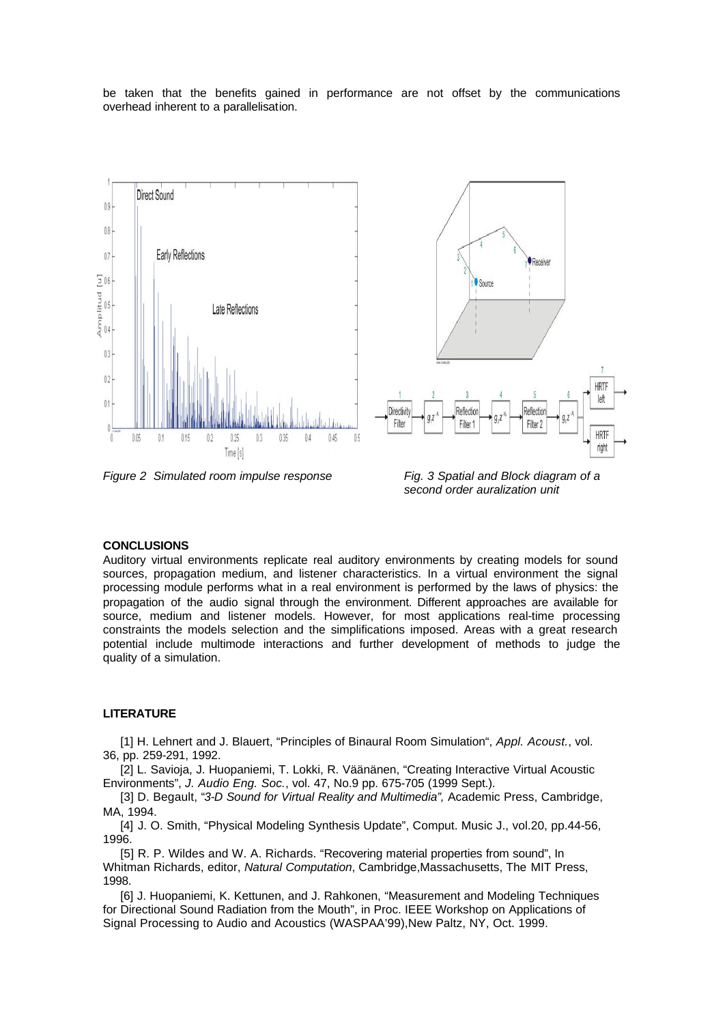be taken that the benefits gained in performance are not offset by the communications overhead inherent to a parallelisation.



*Figure 2 Simulated room impulse response Fig. 3 Spatial and Block diagram of a* 

*second order auralization unit* 

#### **CONCLUSIONS**

Auditory virtual environments replicate real auditory environments by creating models for sound sources, propagation medium, and listener characteristics. In a virtual environment the signal processing module performs what in a real environment is performed by the laws of physics: the propagation of the audio signal through the environment. Different approaches are available for source, medium and listener models. However, for most applications real-time processing constraints the models selection and the simplifications imposed. Areas with a great research potential include multimode interactions and further development of methods to judge the quality of a simulation.

### **LITERATURE**

[1] H. Lehnert and J. Blauert, "Principles of Binaural Room Simulation", *Appl. Acoust.*, vol. 36, pp. 259-291, 1992.

[2] L. Savioja, J. Huopaniemi, T. Lokki, R. Väänänen, "Creating Interactive Virtual Acoustic Environments", *J. Audio Eng. Soc.*, vol. 47, No.9 pp. 675-705 (1999 Sept.).

[3] D. Begault, "*3-D Sound for Virtual Reality and Multimedia",* Academic Press, Cambridge, MA, 1994.

[4] J. O. Smith, "Physical Modeling Synthesis Update", Comput. Music J., vol.20, pp.44-56, 1996.

[5] R. P. Wildes and W. A. Richards. "Recovering material properties from sound", In Whitman Richards, editor, *Natural Computation*, Cambridge,Massachusetts, The MIT Press, 1998.

[6] J. Huopaniemi, K. Kettunen, and J. Rahkonen, "Measurement and Modeling Techniques for Directional Sound Radiation from the Mouth", in Proc. IEEE Workshop on Applications of Signal Processing to Audio and Acoustics (WASPAA'99),New Paltz, NY, Oct. 1999.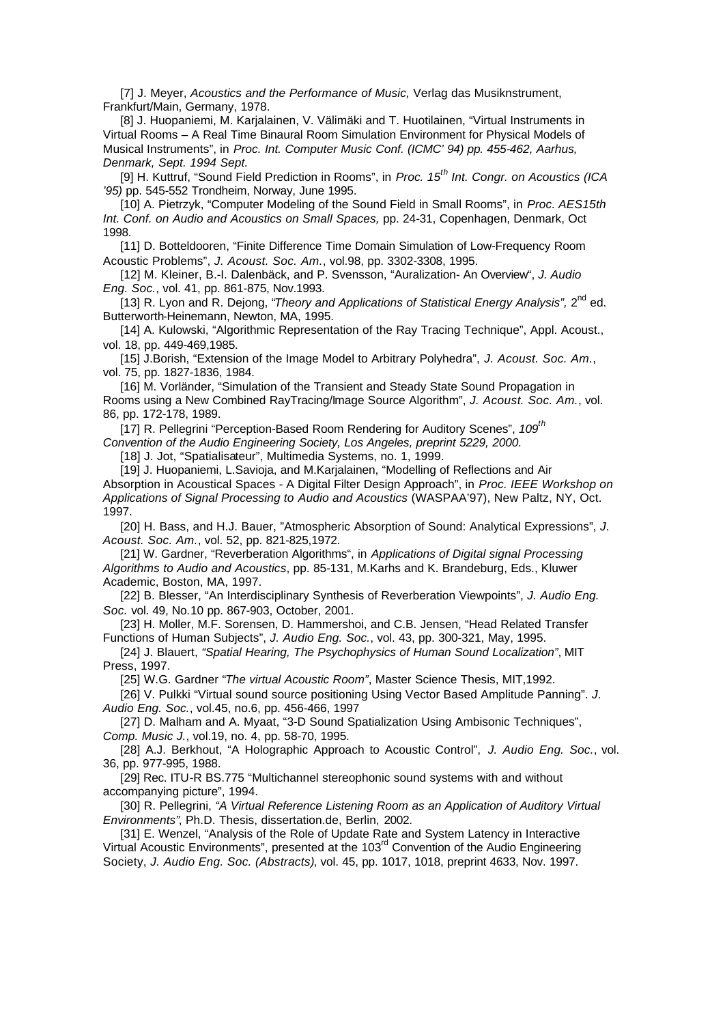[7] J. Meyer, *Acoustics and the Performance of Music,* Verlag das Musiknstrument, Frankfurt/Main, Germany, 1978.

[8] J. Huopaniemi, M. Karjalainen, V. Välimäki and T. Huotilainen, "Virtual Instruments in Virtual Rooms – A Real Time Binaural Room Simulation Environment for Physical Models of Musical Instruments", in *Proc. Int. Computer Music Conf. (ICMC' 94) pp. 455-462, Aarhus, Denmark, Sept. 1994 Sept.*

[9] H. Kuttruf, "Sound Field Prediction in Rooms", in *Proc. 15th Int. Congr. on Acoustics (ICA '95)* pp. 545-552 Trondheim, Norway, June 1995.

[10] A. Pietrzyk, "Computer Modeling of the Sound Field in Small Rooms", in *Proc. AES15th Int. Conf. on Audio and Acoustics on Small Spaces,* pp. 24-31, Copenhagen, Denmark, Oct 1998.

[11] D. Botteldooren, "Finite Difference Time Domain Simulation of Low-Frequency Room Acoustic Problems", *J. Acoust. Soc. Am.*, vol.98, pp. 3302-3308, 1995.

[12] M. Kleiner, B.-I. Dalenbäck, and P. Svensson, "Auralization- An Overview", *J. Audio Eng. Soc.*, vol. 41, pp. 861-875, Nov.1993.

[13] R. Lyon and R. Dejong, "Theory and Applications of Statistical Energy Analysis", 2<sup>nd</sup> ed. Butterworth-Heinemann, Newton, MA, 1995.

[14] A. Kulowski, "Algorithmic Representation of the Ray Tracing Technique", Appl. Acoust., vol. 18, pp. 449-469,1985.

[15] J.Borish, "Extension of the Image Model to Arbitrary Polyhedra", *J. Acoust. Soc. Am.*, vol. 75, pp. 1827-1836, 1984.

[16] M. Vorländer, "Simulation of the Transient and Steady State Sound Propagation in Rooms using a New Combined RayTracing/Image Source Algorithm", *J. Acoust. Soc. Am.*, vol. 86, pp. 172-178, 1989.

[17] R. Pellegrini "Perception-Based Room Rendering for Auditory Scenes", *109th Convention of the Audio Engineering Society, Los Angeles, preprint 5229, 2000.*

[18] J. Jot, "Spatialisateur", Multimedia Systems, no. 1, 1999.

[19] J. Huopaniemi, L.Savioja, and M.Karjalainen, "Modelling of Reflections and Air Absorption in Acoustical Spaces - A Digital Filter Design Approach", in *Proc. IEEE Workshop on Applications of Signal Processing to Audio and Acoustics* (WASPAA'97), New Paltz, NY, Oct. 1997.

[20] H. Bass, and H.J. Bauer, "Atmospheric Absorption of Sound: Analytical Expressions", *J. Acoust. Soc. Am.*, vol. 52, pp. 821-825,1972.

[21] W. Gardner, "Reverberation Algorithms", in *Applications of Digital signal Processing Algorithms to Audio and Acoustics*, pp. 85-131, M.Karhs and K. Brandeburg, Eds., Kluwer Academic, Boston, MA, 1997.

[22] B. Blesser, "An Interdisciplinary Synthesis of Reverberation Viewpoints", *J. Audio Eng. Soc.* vol. 49, No.10 pp. 867-903, October, 2001.

[23] H. Moller, M.F. Sorensen, D. Hammershoi, and C.B. Jensen, "Head Related Transfer Functions of Human Subjects", *J. Audio Eng. Soc.*, vol. 43, pp. 300-321, May, 1995.

[24] J. Blauert, *"Spatial Hearing, The Psychophysics of Human Sound Localization"*, MIT Press, 1997.

[25] W.G. Gardner "*The virtual Acoustic Room"*, Master Science Thesis, MIT,1992.

[26] V. Pulkki "Virtual sound source positioning Using Vector Based Amplitude Panning". *J. Audio Eng. Soc.*, vol.45, no.6, pp. 456-466, 1997

[27] D. Malham and A. Myaat, "3-D Sound Spatialization Using Ambisonic Techniques", *Comp. Music J.*, vol.19, no. 4, pp. 58-70, 1995.

[28] A.J. Berkhout, "A Holographic Approach to Acoustic Control", *J. Audio Eng. Soc.*, vol. 36, pp. 977-995, 1988.

[29] Rec. ITU-R BS.775 "Multichannel stereophonic sound systems with and without accompanying picture", 1994.

[30] R. Pellegrini, *"A Virtual Reference Listening Room as an Application of Auditory Virtual Environments"*, Ph.D. Thesis, dissertation.de, Berlin, 2002.

[31] E. Wenzel, "Analysis of the Role of Update Rate and System Latency in Interactive Virtual Acoustic Environments", presented at the 103<sup>rd</sup> Convention of the Audio Engineering Society, *J. Audio Eng. Soc. (Abstracts)*, vol. 45, pp. 1017, 1018, preprint 4633, Nov. 1997.